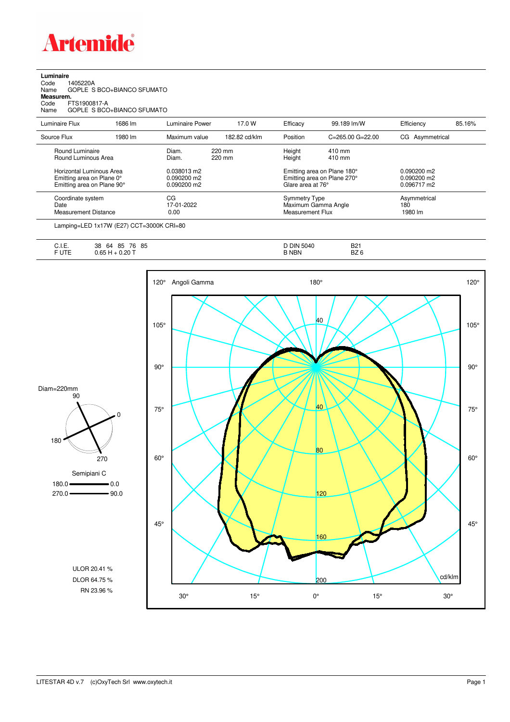

## **Luminaire**

| Code      | 1405220A                   |
|-----------|----------------------------|
| Name      | GOPLE S BCO+BIANCO SFUMATO |
| Measurem. |                            |
| Code      | FTS1900817-A               |
| Name      | GOPLE S BCO+BIANCO SFUMATO |
|           |                            |

| Luminaire Flux                                                                      | 1686 lm | Luminaire Power                                      | 17.0 W           | Efficacy                                 | 99.189 lm/W                                                | Efficiency                                    | 85.16% |
|-------------------------------------------------------------------------------------|---------|------------------------------------------------------|------------------|------------------------------------------|------------------------------------------------------------|-----------------------------------------------|--------|
| Source Flux                                                                         | 1980 lm | Maximum value                                        | 182.82 cd/klm    | Position                                 | $C = 265.00$ $G = 22.00$                                   | CG Asymmetrical                               |        |
| Round Luminaire<br>Round Luminous Area                                              |         | Diam.<br>Diam.                                       | 220 mm<br>220 mm | Height<br>Height                         | 410 mm<br>410 mm                                           |                                               |        |
| Horizontal Luminous Area<br>Emitting area on Plane 0°<br>Emitting area on Plane 90° |         | 0.038013 m2<br>$0.090200 \text{ m}$<br>$0.090200$ m2 |                  | Glare area at 76°                        | Emitting area on Plane 180°<br>Emitting area on Plane 270° | $0.090200$ m2<br>$0.090200$ m2<br>0.096717 m2 |        |
| Coordinate system<br>Date<br><b>Measurement Distance</b>                            |         | CG<br>17-01-2022<br>0.00                             |                  | <b>Symmetry Type</b><br>Measurement Flux | Maximum Gamma Angle                                        | Asymmetrical<br>180<br>1980 lm                |        |

Lamping=LED 1x17W (E27) CCT=3000K CRI=80

| $\sim$<br>◡… | 85<br>76<br>85<br>64<br>38 | 5040<br><b>DIN</b><br>້ | D <sub>04</sub><br>DZ I<br>-- - |
|--------------|----------------------------|-------------------------|---------------------------------|
| ----<br>. .  | חמ .                       | <b>NBN</b>              | ־פ<br>DZ.<br>ັ                  |